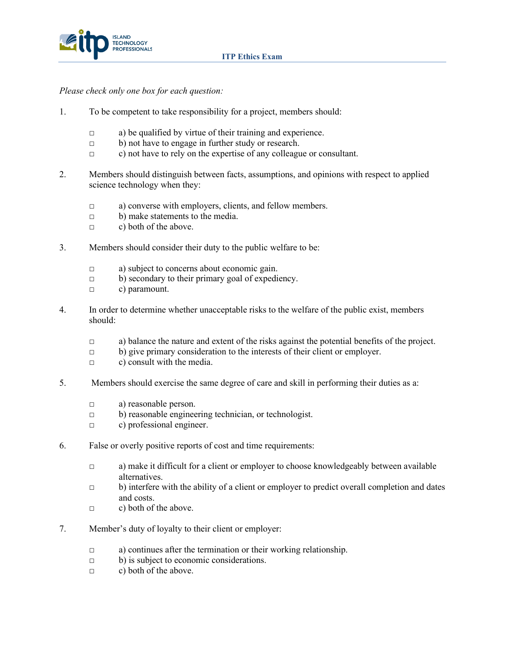

*Please check only one box for each question:*

- 1. To be competent to take responsibility for a project, members should:
	- $\Box$  a) be qualified by virtue of their training and experience.
	- □ b) not have to engage in further study or research.
	- □ c) not have to rely on the expertise of any colleague or consultant.
- 2. Members should distinguish between facts, assumptions, and opinions with respect to applied science technology when they:
	- □ a) converse with employers, clients, and fellow members.
	- □ b) make statements to the media.
	- $\Box$  c) both of the above.
- 3. Members should consider their duty to the public welfare to be:
	- □ a) subject to concerns about economic gain.
	- $\Box$  b) secondary to their primary goal of expediency.
	- □ c) paramount.
- 4. In order to determine whether unacceptable risks to the welfare of the public exist, members should:
	- $\Box$  a) balance the nature and extent of the risks against the potential benefits of the project.
	- □ b) give primary consideration to the interests of their client or employer.
	- $\Box$  c) consult with the media.
- 5. Members should exercise the same degree of care and skill in performing their duties as a:
	- □ a) reasonable person.
	- □ b) reasonable engineering technician, or technologist.
	- □ c) professional engineer.
- 6. False or overly positive reports of cost and time requirements:
	- $\Box$  a) make it difficult for a client or employer to choose knowledgeably between available alternatives.
	- $\Box$  b) interfere with the ability of a client or employer to predict overall completion and dates and costs.
	- $\Box$  c) both of the above.
- 7. Member's duty of loyalty to their client or employer:
	- □ a) continues after the termination or their working relationship.
	- □ b) is subject to economic considerations.
	- $\Box$  c) both of the above.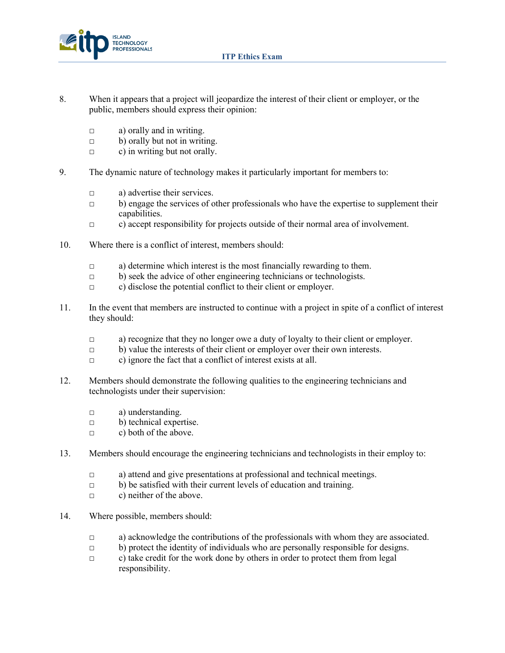

- 8. When it appears that a project will jeopardize the interest of their client or employer, or the public, members should express their opinion:
	- $\Box$  a) orally and in writing.
	- □ b) orally but not in writing.
	- $\Box$  c) in writing but not orally.
- 9. The dynamic nature of technology makes it particularly important for members to:
	- □ a) advertise their services.
	- □ b) engage the services of other professionals who have the expertise to supplement their capabilities.
	- $\Box$  c) accept responsibility for projects outside of their normal area of involvement.
- 10. Where there is a conflict of interest, members should:
	- □ a) determine which interest is the most financially rewarding to them.
	- □ b) seek the advice of other engineering technicians or technologists.
	- □ c) disclose the potential conflict to their client or employer.
- 11. In the event that members are instructed to continue with a project in spite of a conflict of interest they should:
	- □ a) recognize that they no longer owe a duty of loyalty to their client or employer.
	- □ b) value the interests of their client or employer over their own interests.
	- □ c) ignore the fact that a conflict of interest exists at all.
- 12. Members should demonstrate the following qualities to the engineering technicians and technologists under their supervision:
	- □ a) understanding.
	- □ b) technical expertise.
	- $\Box$  c) both of the above.
- 13. Members should encourage the engineering technicians and technologists in their employ to:
	- □ a) attend and give presentations at professional and technical meetings.
	- $\Box$  b) be satisfied with their current levels of education and training.
	- $\Box$  c) neither of the above.
- 14. Where possible, members should:
	- $\Box$  a) acknowledge the contributions of the professionals with whom they are associated.
	- $\Box$  b) protect the identity of individuals who are personally responsible for designs.
	- □ c) take credit for the work done by others in order to protect them from legal responsibility.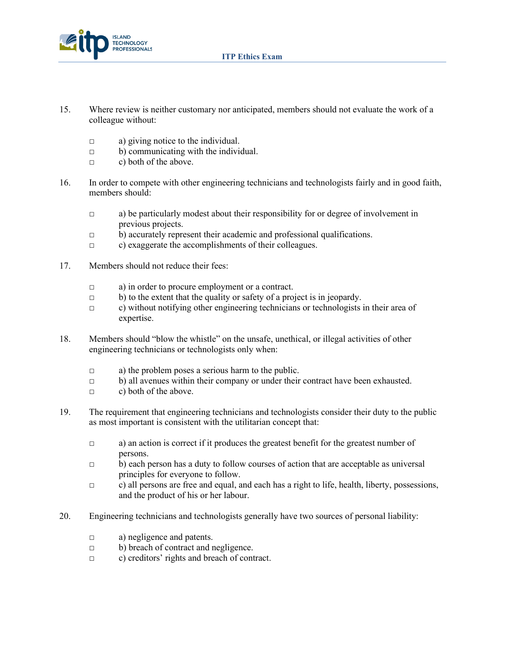



- 15. Where review is neither customary nor anticipated, members should not evaluate the work of a colleague without:
	- □ a) giving notice to the individual.
	- $\Box$  b) communicating with the individual.
	- $\Box$  c) both of the above.
- 16. In order to compete with other engineering technicians and technologists fairly and in good faith, members should:
	- $\Box$  a) be particularly modest about their responsibility for or degree of involvement in previous projects.
	- □ b) accurately represent their academic and professional qualifications.
	- □ c) exaggerate the accomplishments of their colleagues.
- 17. Members should not reduce their fees:
	- □ a) in order to procure employment or a contract.
	- $\Box$  b) to the extent that the quality or safety of a project is in jeopardy.
	- □ c) without notifying other engineering technicians or technologists in their area of expertise.
- 18. Members should "blow the whistle" on the unsafe, unethical, or illegal activities of other engineering technicians or technologists only when:
	- □ a) the problem poses a serious harm to the public.
	- $\Box$  b) all avenues within their company or under their contract have been exhausted.
	- □ c) both of the above.
- 19. The requirement that engineering technicians and technologists consider their duty to the public as most important is consistent with the utilitarian concept that:
	- $\Box$  a) an action is correct if it produces the greatest benefit for the greatest number of persons.
	- $\Box$  b) each person has a duty to follow courses of action that are acceptable as universal principles for everyone to follow.
	- □ c) all persons are free and equal, and each has a right to life, health, liberty, possessions, and the product of his or her labour.
- 20. Engineering technicians and technologists generally have two sources of personal liability:
	- □ a) negligence and patents.
	- □ b) breach of contract and negligence.
	- □ c) creditors' rights and breach of contract.